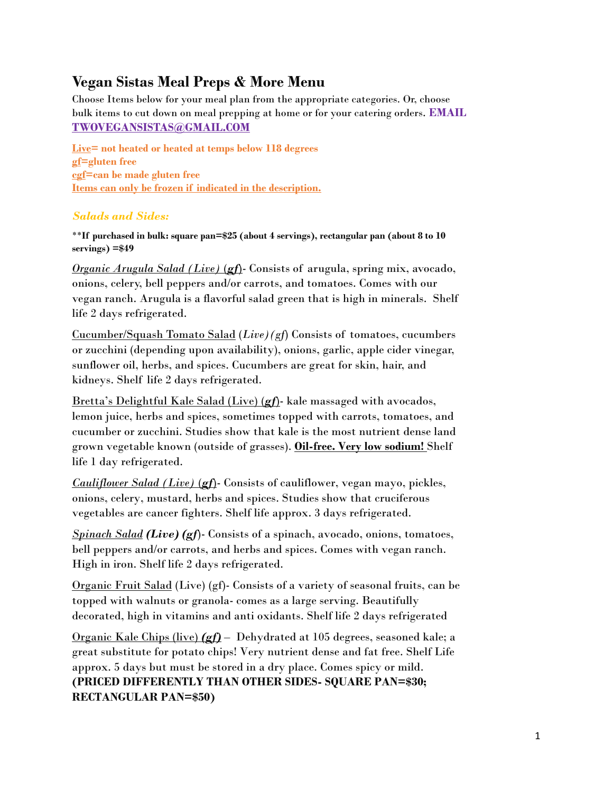# **Vegan Sistas Meal Preps & More Menu**

Choose Items below for your meal plan from the appropriate categories. Or, choose bulk items to cut down on meal prepping at home or for your catering orders. **EMAIL TWOVEGANSISTAS@GMAIL.COM**

**Live= not heated or heated at temps below 118 degrees gf=gluten free cgf=can be made gluten free Items can only be frozen if indicated in the description.**

# *Salads and Sides:*

\*\***If purchased in bulk: square pan=\$25 (about 4 servings), rectangular pan (about 8 to 10 servings) =\$49**

*Organic Arugula Salad (Live)* (*gf*)- Consists of arugula, spring mix, avocado, onions, celery, bell peppers and/or carrots, and tomatoes. Comes with our vegan ranch. Arugula is a flavorful salad green that is high in minerals. Shelf life 2 days refrigerated.

Cucumber/Squash Tomato Salad (*Live)(gf*) Consists of tomatoes, cucumbers or zucchini (depending upon availability), onions, garlic, apple cider vinegar, sunflower oil, herbs, and spices. Cucumbers are great for skin, hair, and kidneys. Shelf life 2 days refrigerated.

Bretta's Delightful Kale Salad (Live) (*gf*)- kale massaged with avocados, lemon juice, herbs and spices, sometimes topped with carrots, tomatoes, and cucumber or zucchini. Studies show that kale is the most nutrient dense land grown vegetable known (outside of grasses). **Oil-free. Very low sodium!** Shelf life 1 day refrigerated.

*Cauliflower Salad (Live)* (*gf*)- Consists of cauliflower, vegan mayo, pickles, onions, celery, mustard, herbs and spices. Studies show that cruciferous vegetables are cancer fighters. Shelf life approx. 3 days refrigerated.

*Spinach Salad (Live) (gf*)- Consists of a spinach, avocado, onions, tomatoes, bell peppers and/or carrots, and herbs and spices. Comes with vegan ranch. High in iron. Shelf life 2 days refrigerated.

Organic Fruit Salad (Live) (gf)- Consists of a variety of seasonal fruits, can be topped with walnuts or granola- comes as a large serving. Beautifully decorated, high in vitamins and anti oxidants. Shelf life 2 days refrigerated

Organic Kale Chips (live) *(gf)* – Dehydrated at 105 degrees, seasoned kale; a great substitute for potato chips! Very nutrient dense and fat free. Shelf Life approx. 5 days but must be stored in a dry place. Comes spicy or mild. **(PRICED DIFFERENTLY THAN OTHER SIDES- SQUARE PAN=\$30; RECTANGULAR PAN=\$50)**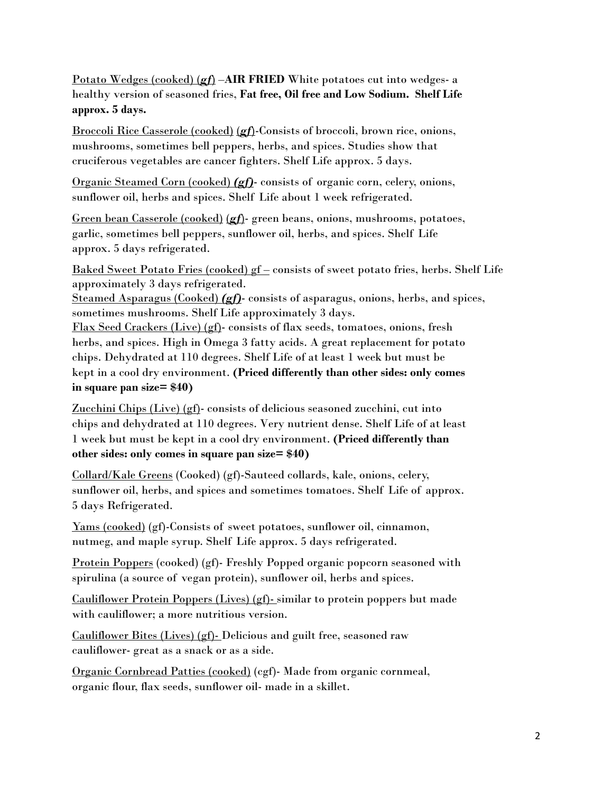Potato Wedges (cooked) (*gf*) –**AIR FRIED** White potatoes cut into wedges- a healthy version of seasoned fries, **Fat free, Oil free and Low Sodium. Shelf Life approx. 5 days.**

Broccoli Rice Casserole (cooked) (*gf*)-Consists of broccoli, brown rice, onions, mushrooms, sometimes bell peppers, herbs, and spices. Studies show that cruciferous vegetables are cancer fighters. Shelf Life approx. 5 days.

Organic Steamed Corn (cooked) *(gf)*- consists of organic corn, celery, onions, sunflower oil, herbs and spices. Shelf Life about 1 week refrigerated.

Green bean Casserole (cooked) (*gf*)- green beans, onions, mushrooms, potatoes, garlic, sometimes bell peppers, sunflower oil, herbs, and spices. Shelf Life approx. 5 days refrigerated.

Baked Sweet Potato Fries (cooked)  $gf$  – consists of sweet potato fries, herbs. Shelf Life approximately 3 days refrigerated.

Steamed Asparagus (Cooked) *(gf)*- consists of asparagus, onions, herbs, and spices, sometimes mushrooms. Shelf Life approximately 3 days.

Flax Seed Crackers (Live) (gf)- consists of flax seeds, tomatoes, onions, fresh herbs, and spices. High in Omega 3 fatty acids. A great replacement for potato chips. Dehydrated at 110 degrees. Shelf Life of at least 1 week but must be kept in a cool dry environment. **(Priced differently than other sides: only comes in square pan size= \$40)**

Zucchini Chips (Live) ( $g$ f)-consists of delicious seasoned zucchini, cut into chips and dehydrated at 110 degrees. Very nutrient dense. Shelf Life of at least 1 week but must be kept in a cool dry environment. **(Priced differently than other sides: only comes in square pan size= \$40)**

Collard/Kale Greens (Cooked) (gf)-Sauteed collards, kale, onions, celery, sunflower oil, herbs, and spices and sometimes tomatoes. Shelf Life of approx. 5 days Refrigerated.

Yams (cooked) (gf)-Consists of sweet potatoes, sunflower oil, cinnamon, nutmeg, and maple syrup. Shelf Life approx. 5 days refrigerated.

Protein Poppers (cooked) (gf)- Freshly Popped organic popcorn seasoned with spirulina (a source of vegan protein), sunflower oil, herbs and spices.

Cauliflower Protein Poppers (Lives) (gf)- similar to protein poppers but made with cauliflower; a more nutritious version.

Cauliflower Bites (Lives) (gf)- Delicious and guilt free, seasoned raw cauliflower- great as a snack or as a side.

Organic Cornbread Patties (cooked) (cgf)- Made from organic cornmeal, organic flour, flax seeds, sunflower oil- made in a skillet.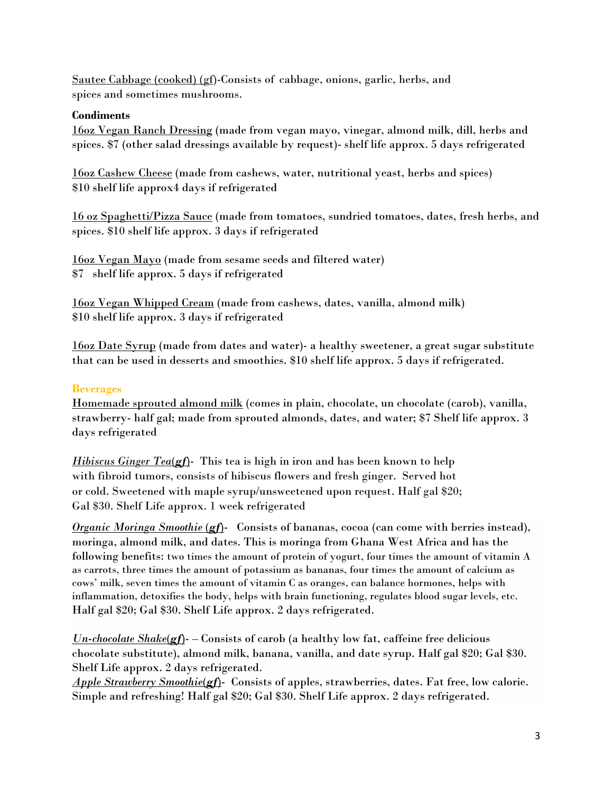Sautee Cabbage (cooked) (gf)-Consists of cabbage, onions, garlic, herbs, and spices and sometimes mushrooms.

#### **Condiments**

16oz Vegan Ranch Dressing (made from vegan mayo, vinegar, almond milk, dill, herbs and spices. \$7 (other salad dressings available by request)- shelf life approx. 5 days refrigerated

16oz Cashew Cheese (made from cashews, water, nutritional yeast, herbs and spices) \$10 shelf life approx4 days if refrigerated

16 oz Spaghetti/Pizza Sauce (made from tomatoes, sundried tomatoes, dates, fresh herbs, and spices. \$10 shelf life approx. 3 days if refrigerated

16oz Vegan Mayo (made from sesame seeds and filtered water) \$7 shelf life approx. 5 days if refrigerated

16oz Vegan Whipped Cream (made from cashews, dates, vanilla, almond milk) \$10 shelf life approx. 3 days if refrigerated

16oz Date Syrup (made from dates and water)- a healthy sweetener, a great sugar substitute that can be used in desserts and smoothies. \$10 shelf life approx. 5 days if refrigerated.

## **Beverages**

Homemade sprouted almond milk (comes in plain, chocolate, un chocolate (carob), vanilla, strawberry- half gal; made from sprouted almonds, dates, and water; \$7 Shelf life approx. 3 days refrigerated

*Hibiscus Ginger Tea(gf)*- This tea is high in iron and has been known to help with fibroid tumors, consists of hibiscus flowers and fresh ginger. Served hot or cold. Sweetened with maple syrup/unsweetened upon request. Half gal \$20; Gal \$30. Shelf Life approx. 1 week refrigerated

*Organic Moringa Smoothie (gf)*- Consists of bananas, cocoa (can come with berries instead), moringa, almond milk, and dates. This is moringa from Ghana West Africa and has the following benefits: two times the amount of protein of yogurt, four times the amount of vitamin A as carrots, three times the amount of potassium as bananas, four times the amount of calcium as cows' milk, seven times the amount of vitamin C as oranges, can balance hormones, helps with inflammation, detoxifies the body, helps with brain functioning, regulates blood sugar levels, etc. Half gal \$20; Gal \$30. Shelf Life approx. 2 days refrigerated.

*Un-chocolate Shake*(*gf*)- – Consists of carob (a healthy low fat, caffeine free delicious chocolate substitute), almond milk, banana, vanilla, and date syrup. Half gal \$20; Gal \$30. Shelf Life approx. 2 days refrigerated.

*Apple Strawberry Smoothie*(*gf*)- Consists of apples, strawberries, dates. Fat free, low calorie. Simple and refreshing! Half gal \$20; Gal \$30. Shelf Life approx. 2 days refrigerated.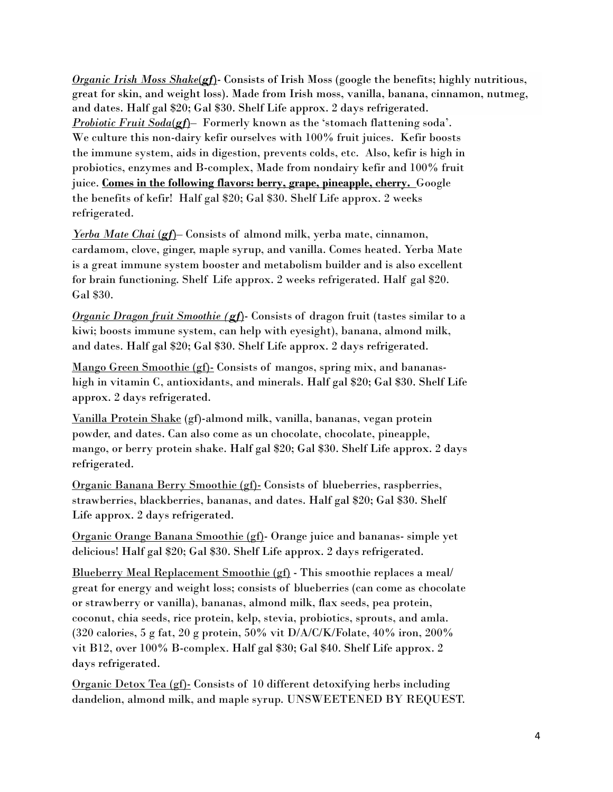*Organic Irish Moss Shake(gf)*- Consists of Irish Moss (google the benefits; highly nutritious, great for skin, and weight loss). Made from Irish moss, vanilla, banana, cinnamon, nutmeg, and dates. Half gal \$20; Gal \$30. Shelf Life approx. 2 days refrigerated. *Probiotic Fruit Soda*(*gf*)– Formerly known as the 'stomach flattening soda'. We culture this non-dairy kefir ourselves with 100% fruit juices. Kefir boosts the immune system, aids in digestion, prevents colds, etc. Also, kefir is high in probiotics, enzymes and B-complex, Made from nondairy kefir and 100% fruit juice. **Comes in the following flavors: berry, grape, pineapple, cherry.** Google the benefits of kefir! Half gal \$20; Gal \$30. Shelf Life approx. 2 weeks refrigerated.

*<u>Yerba Mate Chai (gf</u>*)– Consists of almond milk, yerba mate, cinnamon, cardamom, clove, ginger, maple syrup, and vanilla. Comes heated. Yerba Mate is a great immune system booster and metabolism builder and is also excellent for brain functioning. Shelf Life approx. 2 weeks refrigerated. Half gal \$20. Gal \$30.

*Organic Dragon fruit Smoothie (gf*)- Consists of dragon fruit (tastes similar to a kiwi; boosts immune system, can help with eyesight), banana, almond milk, and dates. Half gal \$20; Gal \$30. Shelf Life approx. 2 days refrigerated.

Mango Green Smoothie (gf)- Consists of mangos, spring mix, and bananashigh in vitamin C, antioxidants, and minerals. Half gal \$20; Gal \$30. Shelf Life approx. 2 days refrigerated.

Vanilla Protein Shake (gf)-almond milk, vanilla, bananas, vegan protein powder, and dates. Can also come as un chocolate, chocolate, pineapple, mango, or berry protein shake. Half gal \$20; Gal \$30. Shelf Life approx. 2 days refrigerated.

Organic Banana Berry Smoothie (gf)- Consists of blueberries, raspberries, strawberries, blackberries, bananas, and dates. Half gal \$20; Gal \$30. Shelf Life approx. 2 days refrigerated.

Organic Orange Banana Smoothie (gf)- Orange juice and bananas- simple yet delicious! Half gal \$20; Gal \$30. Shelf Life approx. 2 days refrigerated.

Blueberry Meal Replacement Smoothie (gf) - This smoothie replaces a meal/ great for energy and weight loss; consists of blueberries (can come as chocolate or strawberry or vanilla), bananas, almond milk, flax seeds, pea protein, coconut, chia seeds, rice protein, kelp, stevia, probiotics, sprouts, and amla. (320 calories, 5 g fat, 20 g protein,  $50\%$  vit  $D/A/C/K/F$ olate,  $40\%$  iron,  $200\%$ vit B12, over 100% B-complex. Half gal \$30; Gal \$40. Shelf Life approx. 2 days refrigerated.

Organic Detox Tea  $(gf)$ - Consists of 10 different detoxifying herbs including dandelion, almond milk, and maple syrup. UNSWEETENED BY REQUEST.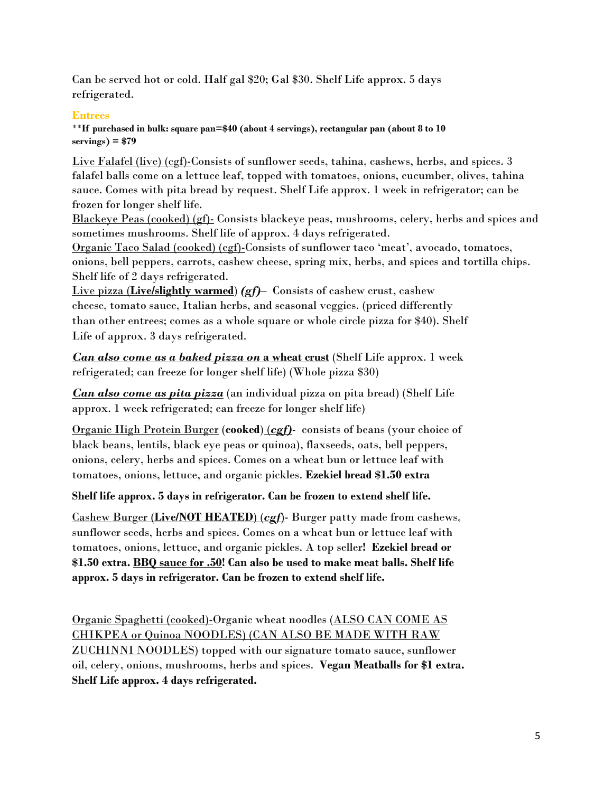Can be served hot or cold. Half gal \$20; Gal \$30. Shelf Life approx. 5 days refrigerated.

#### **Entrees**

\*\***If purchased in bulk: square pan=\$40 (about 4 servings), rectangular pan (about 8 to 10 servings) = \$79**

Live Falafel (live) (cgf)-Consists of sunflower seeds, tahina, cashews, herbs, and spices. 3 falafel balls come on a lettuce leaf, topped with tomatoes, onions, cucumber, olives, tahina sauce. Comes with pita bread by request. Shelf Life approx. 1 week in refrigerator; can be frozen for longer shelf life.

Blackeye Peas (cooked) (gf)- Consists blackeye peas, mushrooms, celery, herbs and spices and sometimes mushrooms. Shelf life of approx. 4 days refrigerated.

Organic Taco Salad (cooked) (cgf)-Consists of sunflower taco 'meat', avocado, tomatoes, onions, bell peppers, carrots, cashew cheese, spring mix, herbs, and spices and tortilla chips. Shelf life of 2 days refrigerated.

Live pizza (**Live/slightly warmed**) *(gf)*– Consists of cashew crust, cashew cheese, tomato sauce, Italian herbs, and seasonal veggies. (priced differently than other entrees; comes as a whole square or whole circle pizza for \$40). Shelf Life of approx. 3 days refrigerated.

*Can also come as a baked pizza on* **a wheat crust** (Shelf Life approx. 1 week refrigerated; can freeze for longer shelf life) (Whole pizza \$30)

*Can also come as pita pizza* (an individual pizza on pita bread) (Shelf Life approx. 1 week refrigerated; can freeze for longer shelf life)

Organic High Protein Burger (**cooked**) (*cgf)*- consists of beans (your choice of black beans, lentils, black eye peas or quinoa), flaxseeds, oats, bell peppers, onions, celery, herbs and spices. Comes on a wheat bun or lettuce leaf with tomatoes, onions, lettuce, and organic pickles. **Ezekiel bread \$1.50 extra**

**Shelf life approx. 5 days in refrigerator. Can be frozen to extend shelf life.**

Cashew Burger (**Live/NOT HEATED**) (*cgf*)- Burger patty made from cashews, sunflower seeds, herbs and spices. Comes on a wheat bun or lettuce leaf with tomatoes, onions, lettuce, and organic pickles. A top seller**! Ezekiel bread or \$1.50 extra. BBQ sauce for .50! Can also be used to make meat balls. Shelf life approx. 5 days in refrigerator. Can be frozen to extend shelf life.** 

Organic Spaghetti (cooked)-Organic wheat noodles (ALSO CAN COME AS CHIKPEA or Quinoa NOODLES) (CAN ALSO BE MADE WITH RAW ZUCHINNI NOODLES) topped with our signature tomato sauce, sunflower oil, celery, onions, mushrooms, herbs and spices. **Vegan Meatballs for \$1 extra. Shelf Life approx. 4 days refrigerated.**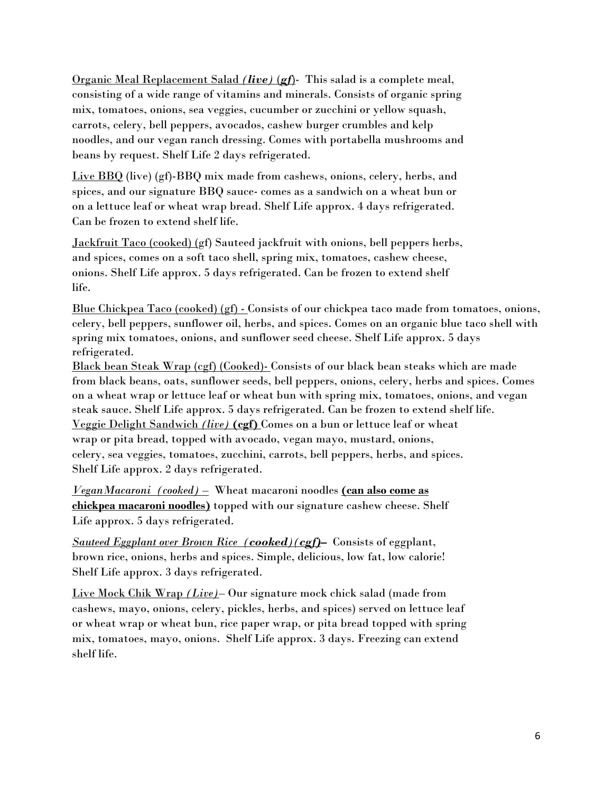Organic Meal Replacement Salad *(live)* (*gf*)- This salad is a complete meal, consisting of a wide range of vitamins and minerals. Consists of organic spring mix, tomatoes, onions, sea veggies, cucumber or zucchini or yellow squash, carrots, celery, bell peppers, avocados, cashew burger crumbles and kelp noodles, and our vegan ranch dressing. Comes with portabella mushrooms and beans by request. Shelf Life 2 days refrigerated.

Live BBQ (live) (gf)-BBQ mix made from cashews, onions, celery, herbs, and spices, and our signature BBQ sauce- comes as a sandwich on a wheat bun or on a lettuce leaf or wheat wrap bread. Shelf Life approx. 4 days refrigerated. Can be frozen to extend shelf life.

Jackfruit Taco (cooked) (gf) Sauteed jackfruit with onions, bell peppers herbs, and spices, comes on a soft taco shell, spring mix, tomatoes, cashew cheese, onions. Shelf Life approx. 5 days refrigerated. Can be frozen to extend shelf life.

Blue Chickpea Taco (cooked) (gf) - Consists of our chickpea taco made from tomatoes, onions, celery, bell peppers, sunflower oil, herbs, and spices. Comes on an organic blue taco shell with spring mix tomatoes, onions, and sunflower seed cheese. Shelf Life approx. 5 days refrigerated.

Black bean Steak Wrap (cgf) (Cooked)- Consists of our black bean steaks which are made from black beans, oats, sunflower seeds, bell peppers, onions, celery, herbs and spices. Comes on a wheat wrap or lettuce leaf or wheat bun with spring mix, tomatoes, onions, and vegan steak sauce. Shelf Life approx. 5 days refrigerated. Can be frozen to extend shelf life. Veggie Delight Sandwich *(live)* **(cgf)** Comes on a bun or lettuce leaf or wheat wrap or pita bread, topped with avocado, vegan mayo, mustard, onions, celery, sea veggies, tomatoes, zucchini, carrots, bell peppers, herbs, and spices. Shelf Life approx. 2 days refrigerated.

*VeganMacaroni (cooked) –* Wheat macaroni noodles **(can also come as chickpea macaroni noodles)** topped with our signature cashew cheese. Shelf Life approx. 5 days refrigerated.

*Sauteed Eggplant over Brown Rice (cooked)(cgf)***–** Consists of eggplant, brown rice, onions, herbs and spices. Simple, delicious, low fat, low calorie! Shelf Life approx. 3 days refrigerated.

Live Mock Chik Wrap *(Live)*– Our signature mock chick salad (made from cashews, mayo, onions, celery, pickles, herbs, and spices) served on lettuce leaf or wheat wrap or wheat bun, rice paper wrap, or pita bread topped with spring mix, tomatoes, mayo, onions. Shelf Life approx. 3 days. Freezing can extend shelf life.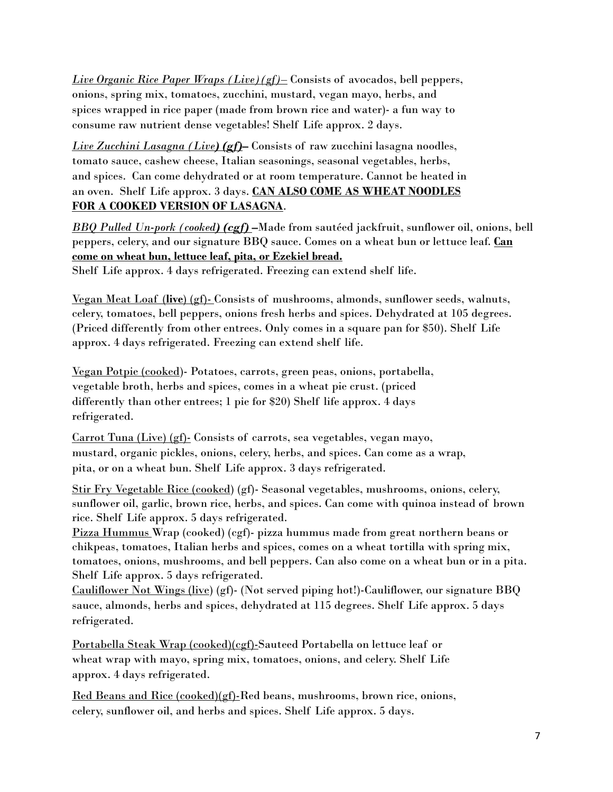*Live Organic Rice Paper Wraps (Live)(gf)–* Consists of avocados, bell peppers, onions, spring mix, tomatoes, zucchini, mustard, vegan mayo, herbs, and spices wrapped in rice paper (made from brown rice and water)- a fun way to consume raw nutrient dense vegetables! Shelf Life approx. 2 days.

*Live Zucchini Lasagna (Live) (gf)***–** Consists of raw zucchini lasagna noodles, tomato sauce, cashew cheese, Italian seasonings, seasonal vegetables, herbs, and spices. Can come dehydrated or at room temperature. Cannot be heated in an oven. Shelf Life approx. 3 days. **CAN ALSO COME AS WHEAT NOODLES FOR A COOKED VERSION OF LASAGNA**.

*BBQ Pulled Un-pork (cooked) (cgf)* **–**Made from sautéed jackfruit, sunflower oil, onions, bell peppers, celery, and our signature BBQ sauce. Comes on a wheat bun or lettuce leaf. **Can come on wheat bun, lettuce leaf, pita, or Ezekiel bread.**

Shelf Life approx. 4 days refrigerated. Freezing can extend shelf life.

Vegan Meat Loaf (**live**) (gf)- Consists of mushrooms, almonds, sunflower seeds, walnuts, celery, tomatoes, bell peppers, onions fresh herbs and spices. Dehydrated at 105 degrees. (Priced differently from other entrees. Only comes in a square pan for \$50). Shelf Life approx. 4 days refrigerated. Freezing can extend shelf life.

Vegan Potpie (cooked)- Potatoes, carrots, green peas, onions, portabella, vegetable broth, herbs and spices, comes in a wheat pie crust. (priced differently than other entrees; 1 pie for \$20) Shelf life approx. 4 days refrigerated.

Carrot Tuna (Live) (gf)- Consists of carrots, sea vegetables, vegan mayo, mustard, organic pickles, onions, celery, herbs, and spices. Can come as a wrap, pita, or on a wheat bun. Shelf Life approx. 3 days refrigerated.

Stir Fry Vegetable Rice (cooked) (gf)- Seasonal vegetables, mushrooms, onions, celery, sunflower oil, garlic, brown rice, herbs, and spices. Can come with quinoa instead of brown rice. Shelf Life approx. 5 days refrigerated.

Pizza Hummus Wrap (cooked) (cgf)- pizza hummus made from great northern beans or chikpeas, tomatoes, Italian herbs and spices, comes on a wheat tortilla with spring mix, tomatoes, onions, mushrooms, and bell peppers. Can also come on a wheat bun or in a pita. Shelf Life approx. 5 days refrigerated.

Cauliflower Not Wings (live) (gf)- (Not served piping hot!)-Cauliflower, our signature BBQ sauce, almonds, herbs and spices, dehydrated at 115 degrees. Shelf Life approx. 5 days refrigerated.

Portabella Steak Wrap (cooked)(cgf)-Sauteed Portabella on lettuce leaf or wheat wrap with mayo, spring mix, tomatoes, onions, and celery. Shelf Life approx. 4 days refrigerated.

Red Beans and Rice (cooked)(gf)-Red beans, mushrooms, brown rice, onions, celery, sunflower oil, and herbs and spices. Shelf Life approx. 5 days.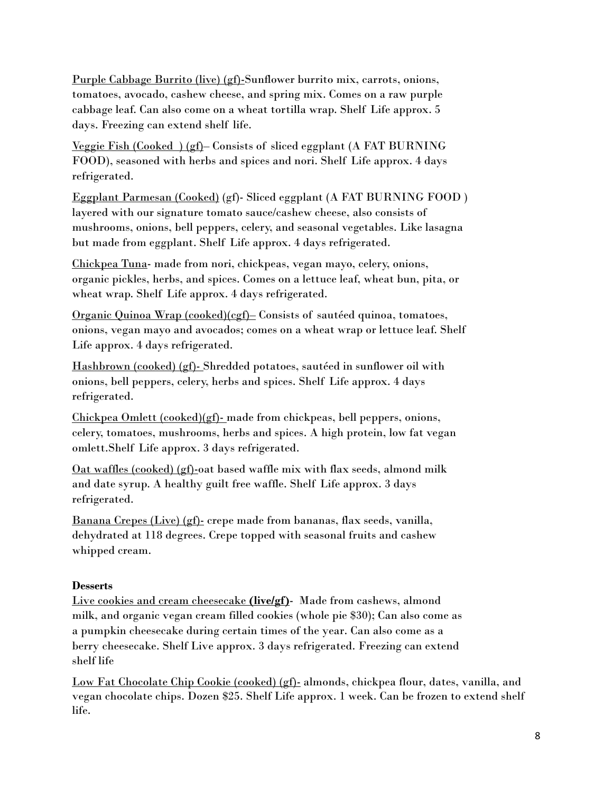Purple Cabbage Burrito (live) (gf)-Sunflower burrito mix, carrots, onions, tomatoes, avocado, cashew cheese, and spring mix. Comes on a raw purple cabbage leaf. Can also come on a wheat tortilla wrap. Shelf Life approx. 5 days. Freezing can extend shelf life.

Veggie Fish (Cooked ) (gf)– Consists of sliced eggplant (A FAT BURNING FOOD), seasoned with herbs and spices and nori. Shelf Life approx. 4 days refrigerated.

Eggplant Parmesan (Cooked) (gf)- Sliced eggplant (A FAT BURNING FOOD ) layered with our signature tomato sauce/cashew cheese, also consists of mushrooms, onions, bell peppers, celery, and seasonal vegetables. Like lasagna but made from eggplant. Shelf Life approx. 4 days refrigerated.

Chickpea Tuna- made from nori, chickpeas, vegan mayo, celery, onions, organic pickles, herbs, and spices. Comes on a lettuce leaf, wheat bun, pita, or wheat wrap. Shelf Life approx. 4 days refrigerated.

Organic Quinoa Wrap (cooked)(cgf)– Consists of sautéed quinoa, tomatoes, onions, vegan mayo and avocados; comes on a wheat wrap or lettuce leaf. Shelf Life approx. 4 days refrigerated.

Hashbrown (cooked) (gf)- Shredded potatoes, sautéed in sunflower oil with onions, bell peppers, celery, herbs and spices. Shelf Life approx. 4 days refrigerated.

Chickpea Omlett (cooked)(gf)- made from chickpeas, bell peppers, onions, celery, tomatoes, mushrooms, herbs and spices. A high protein, low fat vegan omlett.Shelf Life approx. 3 days refrigerated.

Oat waffles (cooked) (gf)-oat based waffle mix with flax seeds, almond milk and date syrup. A healthy guilt free waffle. Shelf Life approx. 3 days refrigerated.

Banana Crepes (Live) (gf)- crepe made from bananas, flax seeds, vanilla, dehydrated at 118 degrees. Crepe topped with seasonal fruits and cashew whipped cream.

## **Desserts**

Live cookies and cream cheesecake **(live/gf)**- Made from cashews, almond milk, and organic vegan cream filled cookies (whole pie \$30); Can also come as a pumpkin cheesecake during certain times of the year. Can also come as a berry cheesecake. Shelf Live approx. 3 days refrigerated. Freezing can extend shelf life

Low Fat Chocolate Chip Cookie (cooked) (gf)- almonds, chickpea flour, dates, vanilla, and vegan chocolate chips. Dozen \$25. Shelf Life approx. 1 week. Can be frozen to extend shelf life.